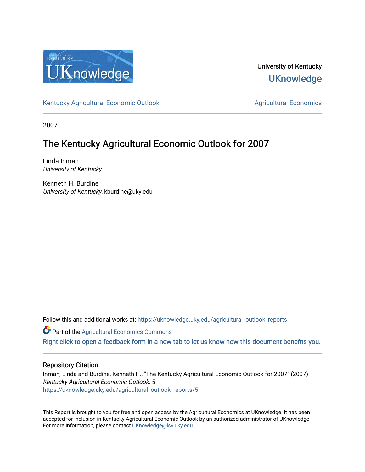

University of Kentucky **UKnowledge** 

[Kentucky Agricultural Economic Outlook](https://uknowledge.uky.edu/agricultural_outlook_reports) [Agricultural Economics](https://uknowledge.uky.edu/agecon) Agricultural Economics

2007

# The Kentucky Agricultural Economic Outlook for 2007

Linda Inman University of Kentucky

Kenneth H. Burdine University of Kentucky, kburdine@uky.edu

Follow this and additional works at: [https://uknowledge.uky.edu/agricultural\\_outlook\\_reports](https://uknowledge.uky.edu/agricultural_outlook_reports?utm_source=uknowledge.uky.edu%2Fagricultural_outlook_reports%2F5&utm_medium=PDF&utm_campaign=PDFCoverPages) 

**Part of the Agricultural Economics Commons** 

[Right click to open a feedback form in a new tab to let us know how this document benefits you.](https://uky.az1.qualtrics.com/jfe/form/SV_9mq8fx2GnONRfz7)

## Repository Citation

Inman, Linda and Burdine, Kenneth H., "The Kentucky Agricultural Economic Outlook for 2007" (2007). Kentucky Agricultural Economic Outlook. 5. [https://uknowledge.uky.edu/agricultural\\_outlook\\_reports/5](https://uknowledge.uky.edu/agricultural_outlook_reports/5?utm_source=uknowledge.uky.edu%2Fagricultural_outlook_reports%2F5&utm_medium=PDF&utm_campaign=PDFCoverPages) 

This Report is brought to you for free and open access by the Agricultural Economics at UKnowledge. It has been accepted for inclusion in Kentucky Agricultural Economic Outlook by an authorized administrator of UKnowledge. For more information, please contact [UKnowledge@lsv.uky.edu.](mailto:UKnowledge@lsv.uky.edu)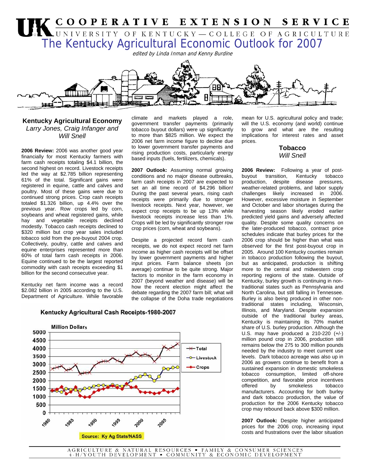

### **Kentucky Agricultural Economy**  *Larry Jones, Craig Infanger and Will Snell*

**2006 Review:** 2006 was another good year financially for most Kentucky farmers with farm cash receipts totaling \$4.1 billion, the second highest on record. Livestock receipts led the way at \$2.785 billion representing 61% of the total. Significant gains were registered in equine, cattle and calves and poultry. Most of these gains were due to continued strong prices. Crop cash receipts totaled \$1.326 billion, up 4.4% over the previous year. Row crops led by corn, soybeans and wheat registered gains, while hay and vegetable receipts declined modestly. Tobacco cash receipts declined to \$320 million but crop year sales included tobacco sold from the pre-buyout 2004 crop. Collectively, poultry, cattle and calves and equine enterprises represented more than 60% of total farm cash receipts in 2006. Equine continued to be the largest reported commodity with cash receipts exceeding \$1 billion for the second consecutive year.

Kentucky net farm income was a record \$2.082 billion in 2005 according to the U.S. Department of Agriculture. While favorable climate and markets played a role, government transfer payments (primarily tobacco buyout dollars) were up significantly to more than \$825 million. We expect the 2006 net farm income figure to decline due to lower government transfer payments and rising production costs, particularly energy based inputs (fuels, fertilizers, chemicals).

**2007 Outlook:** Assuming normal growing conditions and no major disease outbreaks, farm cash receipts in 2007 are expected to set an all time record of \$4.296 billion! During the past several years, rising cash receipts were primarily due to stronger livestock receipts. Next year, however, we expect crop receipts to be up 13% while livestock receipts increase less than 1%. Crops will be led by significantly stronger row crop prices (corn, wheat and soybeans).

Despite a projected record farm cash receipts, we do not expect record net farm income as higher cash receipts will be offset by lower government payments and higher input prices. Farm balance sheets (on average) continue to be quite strong. Major factors to monitor in the farm economy in 2007 (beyond weather and disease) will be how the recent election might affect the debate regarding the 2007 farm bill; what will the collapse of the Doha trade negotiations mean for U.S. agricultural policy and trade; will the U.S. economy (and world) continue to grow and what are the resulting implications for interest rates and asset prices.

## **Tobacco**  *Will Snell*

**2006 Review:** Following a year of postbuyout transition, production, despite disease pressures, weather-related problems, and labor supply challenges likely increased in 2006. However, excessive moisture in September and October and labor shortages during the harvesting season likely eroded earlier predicted yield gains and adversely affected quality. Despite some quality concerns on the later-produced tobacco, contract price schedules indicate that burley prices for the 2006 crop should be higher than what was observed for the first post-buyout crop in 2005. Around 100 Kentucky counties remain in tobacco production following the buyout, but as anticipated, production is shifting more to the central and midwestern crop reporting regions of the state. Outside of Kentucky, burley growth is continuing in nontraditional states such as Pennsylvania and North Carolina, but still falling in Tennessee. Burley is also being produced in other nontraditional states including, Wisconsin, Illinois, and Maryland. Despite expansion outside of the traditional burley areas, Kentucky is maintaining its 70% market share of U.S. burley production. Although the U.S. may have produced a 210-220 (+/-) million pound crop in 2006, production still remains below the 275 to 300 million pounds needed by the industry to meet current use levels. Dark tobacco acreage was also up in 2006 as growers continue to benefit from a sustained expansion in domestic smokeless tobacco consumption, limited off-shore competition, and favorable price incentives offered by smokeless tobacco manufacturers. Accounting for both burley and dark tobacco production, the value of production for the 2006 Kentucky tobacco crop may rebound back above \$300 million.

**2007 Outlook:** Despite higher anticipated prices for the 2006 crop, increasing input costs and frustrations over the labor situation



#### Kentucky Agricultural Cash Receipts-1980-2007

AGRICULTURE & NATURAL RESOURCES • FAMILY & CONSUMER SCIENCES 4-H/YOUTH DEVELOPMENT • COMMUNITY & ECONOMIC DEVELOPMENT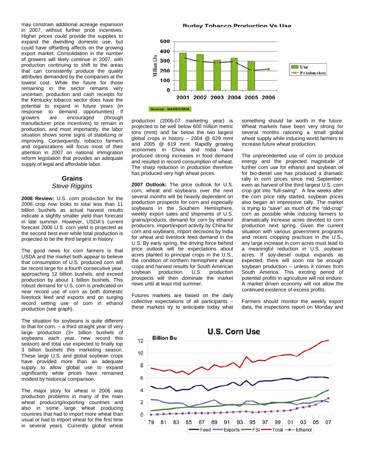may constrain additional acreage expansion in 2007, without further price incentives. Higher prices could provide the supplies to expand the dwindling domestic use, but could have offsetting affects on the growing export market. Consolidation in the number of growers will likely continue in 2007, with production continuing to shift to the areas that can consistently produce the quality attributes demanded by the companies at the lowest cost. While the future for those remaining in the sector remains very uncertain, production and cash receipts for the Kentucky tobacco sector does have the potential to expand in future years (in response to demand opportunities) if growers are encouraged (through manufacturer price incentives) to remain in production, and most importantly, the labor situation shows some signs of stabilizing or improving. Consequently, tobacco farmers and organizations will focus most of their attention in 2007 on national immigration reform legislation that provides an adequate supply of legal and affordable labor.

## **Grains**  *Steve Riggins*

**2006 Review:** U.S. corn production for the 2006 crop now looks to total less than 11 billion bushels as actual harvest results indicate a slightly smaller yield than forecast in late summer. However, USDA's current forecast 2006 U.S. corn yield is projected as the second best ever while total production is projected to be the third largest in history.

The good news for corn farmers is that USDA and the market both appear to believe that consumption of U.S. produced corn will be record large for a fourth consecutive year, approaching 12 billion bushels, and exceed production by about 1 billion bushels. This robust demand for U.S. corn is predicated on near record use of corn as both domestic livestock feed and exports and on surging record setting use of corn in ethanol production (see graph).

The situation for soybeans is quite different to that for corn. – a third straight year of very large production (3+ billion bushels of soybeans each year, new record this season) and total use expected to finally top 3 billion bushels this marketing season. These large U.S. and global soybean crops have provided more than an adequate supply to allow global use to expand significantly while prices have remained modest by historical comparison.

The major story for wheat in 2006 was production problems in many of the main wheat producing/exporting countries and also in some large wheat producing countries that had to import more wheat than usual or had to import wheat for the first time in several years. Currently global wheat

**Burley Tobacco Production Vs Use** 



production (2006-07 marketing year) is projected to be well below 600 million metric tons (mmt) and far below the two largest global crops in history – 2004 @ 629 mmt and 2005 @ 619 mmt. Rapidly growing economies in China and India have produced strong increases in food demand and resulted in record consumption of wheat. The sharp reduction in production therefore has produced very high wheat prices.

**2007 Outlook:** The price outlook for U.S. corn, wheat and soybeans over the next several months will be heavily dependent on production prospects for corn and especially soybeans in the Southern Hemisphere, weekly export sales and shipments of U.S. grains/products, demand for corn by ethanol producers, import/export activity by China for corn and soybeans, import decisions by India for wheat and livestock feed demand in the U.S. By early spring, the driving force behind price outlook will be expectations about acres planted to principal crops in the U.S., the condition of northern hemisphere wheat crops and harvest results for South American<br>soybean production. U.S. production soybean production. prospects will then dominate the market news until at least mid summer.

Futures markets are based on the daily collective expectations of all participants – these markets try to anticipate today what something should be worth in the future. Wheat markets have been very strong for several months rationing a small global wheat supply while inducing world farmers to increase future wheat production.

The unprecedented use of corn to produce energy and the projected magnitude of further corn use for ethanol and soybean oil for bio-diesel use has produced a dramatic rally in corn prices since mid September, even as harvest of the third largest U.S. corn crop got into "full-swing". A few weeks after the corn price rally started, soybean prices also began an impressive rally. The market is trying to "save" as much of the "old-crop" corn as possible while inducing farmers to dramatically increase acres devoted to corn production next spring. Given the current situation with various government programs and recent cropping practices in the U.S., any large increase in corn acres must lead to a meaningful reduction in U.S. soybean acres. If soy-diesel output expands as expected, there will soon not be enough soybean production – unless it comes from South America. This exciting period of potential profits in agriculture will not endure. A market driven economy will not allow the continued existence of excess profits.

Farmers should monitor the weekly export data, the inspections report on Monday and

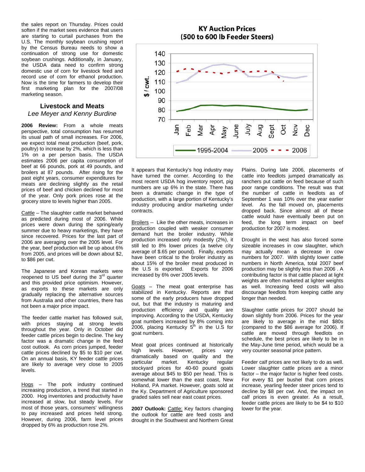the sales report on Thursday. Prices could soften if the market sees evidence that users are starting to curtail purchases from the U.S. The monthly soybean crushing report by the Census Bureau needs to show a continuation of strong use for domestic soybean crushings. Additionally, in January, the USDA data need to confirm strong domestic use of corn for livestock feed and record use of corn for ethanol production. Now is the time for farmers to develop their first marketing plan for the 2007/08 marketing season.

## **Livestock and Meats**  *Lee Meyer and Kenny Burdine*

**2006 Review:** From a whole meats perspective, total consumption has resumed its usual path of small increases. For 2006, we expect total meat production (beef, pork, poultry) to increase by 2%, which is less than 1% on a per person basis. The USDA estimates 2006 per capita consumption of beef at 66 pounds, pork at 49 pounds, and broilers at 87 pounds. After rising for the past eight years, consumer expenditures for meats are declining slightly as the retail prices of beef and chicken declined for most of the year. Only pork prices rose at the grocery store to levels higher than 2005.

Cattle – The slaughter cattle market behaved as predicted during most of 2006. While prices were down during the spring/early summer due to heavy marketings, they have since recovered. Prices for the last part of 2006 are averaging over the 2005 level. For the year, beef production will be up about 6% from 2005, and prices will be down about \$2, to \$86 per cwt.

The Japanese and Korean markets were reopened to US beef during the  $3<sup>rd</sup>$  quarter and this provided price optimism. However, as exports to these markets are only gradually replacing the alternative sources from Australia and other countries, there has not been a major price impact.

The feeder cattle market has followed suit, with prices staying at strong levels throughout the year. Only in October did feeder cattle prices begin to decline. The key factor was a dramatic change in the feed cost outlook. As corn prices jumped, feeder cattle prices declined by \$5 to \$10 per cwt. On an annual basis, KY feeder cattle prices are likely to average very close to 2005 levels.

Hogs – The pork industry continued increasing production, a trend that started in 2000. Hog inventories and productivity have increased at slow, but steady levels. For most of those years, consumers' willingness to pay increased and prices held strong. However, during 2006, farm level prices dropped by 6% as production rose 2%.



Apr

1995-2004

Viay

Nar

yung<br>July

Aug

Sept ö

 $2005 - - 2006$ 

It appears that Kentucky's hog industry may have turned the corner. According to the most recent USDA hog inventory report, pig numbers are up 6% in the state. There has been a dramatic change in the type of production, with a large portion of Kentucky's industry producing and/or marketing under contracts.

70

Jan  $e<sub>b</sub>$ 

Broilers -- Like the other meats, increases in production coupled with weaker consumer demand hurt the broiler industry. While production increased only modestly (2%), it still led to 8% lower prices (a twelve city average of \$.65 per pound). Finally, exports have been critical to the broiler industry as about 15% of the broiler meat produced in the U.S is exported. Exports for 2006 increased by 6% over 2005 levels.

Goats – The meat goat enterprise has stabilized in Kentucky. Reports are that some of the early producers have dropped out, but that the industry is maturing and production efficiency and quality are improving. According to the USDA, Kentucky goat numbers increased by 8% coming into 2006, placing Kentucky  $5<sup>th</sup>$  in the U.S for goat numbers.

Meat goat prices continued at historically high levels. However, prices vary dramatically based on quality and the particular market. Kentucky regular stockyard prices for 40-60 pound goats average about \$45 to \$50 per head. This is somewhat lower than the east coast. New Holland, PA market. However, goats sold at the Ky. Department of Agriculture sponsored graded sales sell near east coast prices.

2007 Outlook: Cattle: Key factors changing the outlook for cattle are feed costs and drought in the Southwest and Northern Great

Plains. During late 2006, placements of cattle into feedlots jumped dramatically as ranchers put cattle on feed because of such poor range conditions. The result was that the number of cattle in feedlots as of September 1 was 10% over the year earlier level. As the fall moved on, placements dropped back. Since almost all of these cattle would have eventually been put on feed, the long term impact on beef production for 2007 is modest.

 $\frac{5}{2}$ Dec

Drought in the west has also forced some sizeable increases in cow slaughter, which may actually mean a decrease in cow numbers for 2007. With slightly lower cattle numbers in North America, total 2007 beef production may be slightly less than 2006 . A contributing factor is that cattle placed at light weights are often marketed at lighter weights as well. Increasing feed costs will also discourage feedlots from keeping cattle any longer than needed.

Slaughter cattle prices for 2007 should be down slightly from 2006. Prices for the year are likely to average in the mid \$80s (compared to the \$86 average for 2006). If cattle are moved through feedlots on schedule, the best prices are likely to be in the May-June time period, which would be a very counter seasonal price pattern.

Feeder calf prices are not likely to do as well. Lower slaughter cattle prices are a minor factor – the major factor is higher feed costs. For every \$1 per bushel that corn prices increase, yearling feeder steer prices tend to decline by \$8 per cwt. And, the impact on calf prices is even greater. As a result, feeder cattle prices are likely to be \$4 to \$10 lower for the year.